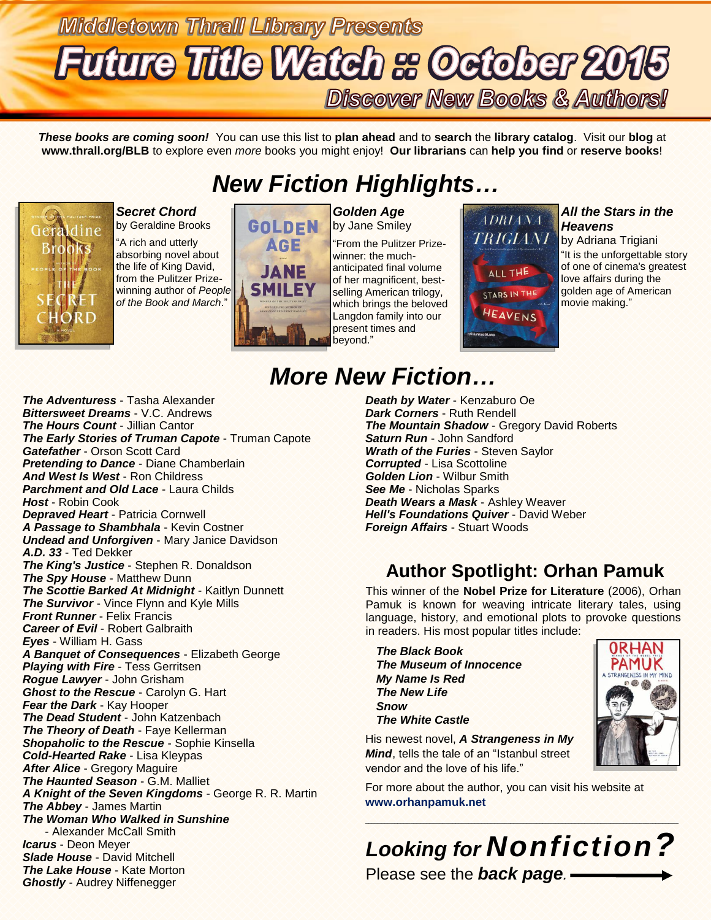# **Middletown Thrall Library Presents Future Title Watch & October 2015 Discover New Books & Authors!**

*These books are coming soon!* You can use this list to **plan ahead** and to **search** the **library catalog**. Visit our **blog** at **www.thrall.org/BLB** to explore even *more* books you might enjoy! **Our librarians** can **help you find** or **reserve books**!

## *New Fiction Highlights…*



*Secret Chord* by Geraldine Brooks

"A rich and utterly absorbing novel about the life of King David, from the Pulitzer Prizewinning author of *People of the Book and March*."



*Golden Age* by Jane Smiley

"From the Pulitzer Prizewinner: the muchanticipated final volume of her magnificent, bestselling American trilogy, which brings the beloved Langdon family into our present times and beyond."



#### *All the Stars in the Heavens*

by Adriana Trigiani "It is the unforgettable story of one of cinema's greatest love affairs during the golden age of American movie making."

# *More New Fiction…*

*The Adventuress* - Tasha Alexander *Bittersweet Dreams* - V.C. Andrews *The Hours Count* - Jillian Cantor *The Early Stories of Truman Capote* - Truman Capote *Gatefather* - Orson Scott Card *Pretending to Dance* - Diane Chamberlain *And West Is West* - Ron Childress *Parchment and Old Lace* - Laura Childs *Host* - Robin Cook *Depraved Heart* - Patricia Cornwell *A Passage to Shambhala* - Kevin Costner *Undead and Unforgiven* - Mary Janice Davidson *A.D. 33* - Ted Dekker *The King's Justice* - Stephen R. Donaldson *The Spy House* - Matthew Dunn *The Scottie Barked At Midnight* - Kaitlyn Dunnett *The Survivor* - Vince Flynn and Kyle Mills *Front Runner* - Felix Francis *Career of Evil* - Robert Galbraith *Eyes* - William H. Gass *A Banquet of Consequences* - Elizabeth George *Playing with Fire* - Tess Gerritsen *Rogue Lawyer* - John Grisham *Ghost to the Rescue* - Carolyn G. Hart *Fear the Dark* - Kay Hooper *The Dead Student* - John Katzenbach *The Theory of Death* - Faye Kellerman *Shopaholic to the Rescue* - Sophie Kinsella *Cold-Hearted Rake* - Lisa Kleypas *After Alice* - Gregory Maguire *The Haunted Season* - G.M. Malliet *A Knight of the Seven Kingdoms* - George R. R. Martin *The Abbey* - James Martin *The Woman Who Walked in Sunshine* - Alexander McCall Smith *Icarus* - Deon Meyer *Slade House* - David Mitchell *The Lake House* - Kate Morton *Ghostly* - Audrey Niffenegger

*Death by Water* - Kenzaburo Oe *Dark Corners* - Ruth Rendell *The Mountain Shadow* - Gregory David Roberts *Saturn Run* - John Sandford *Wrath of the Furies* - Steven Saylor *Corrupted* - Lisa Scottoline *Golden Lion* - Wilbur Smith *See Me* - Nicholas Sparks *Death Wears a Mask* - Ashley Weaver *Hell's Foundations Quiver* - David Weber *Foreign Affairs* - Stuart Woods

### **Author Spotlight: Orhan Pamuk**

This winner of the **Nobel Prize for Literature** (2006), Orhan Pamuk is known for weaving intricate literary tales, using language, history, and emotional plots to provoke questions in readers. His most popular titles include:

*The Black Book The Museum of Innocence My Name Is Red The New Life Snow The White Castle*



His newest novel, *A Strangeness in My Mind*, tells the tale of an "Istanbul street vendor and the love of his life."

For more about the author, you can visit his website at **[www.orhanpamuk.net](http://www.orhanpamuk.net/)**

## *Looking for Nonfiction?* Please see the *back page.*

\_\_\_\_\_\_\_\_\_\_\_\_\_\_\_\_\_\_\_\_\_\_\_\_\_\_\_\_\_\_\_\_\_\_\_\_\_\_\_\_\_\_\_\_\_\_\_\_\_\_\_\_\_\_\_\_\_\_\_\_\_\_\_\_\_\_\_\_\_\_\_\_\_\_\_\_\_\_\_\_\_\_\_\_\_\_\_\_\_\_\_\_\_\_\_\_\_